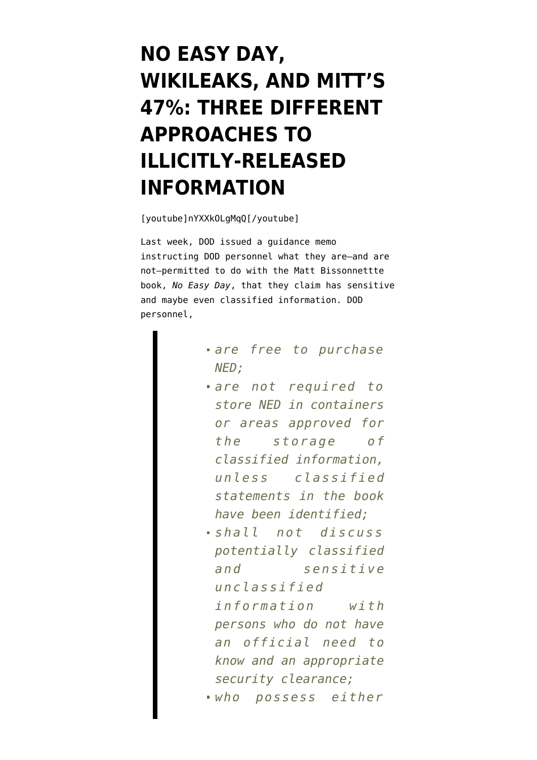## **[NO EASY DAY,](https://www.emptywheel.net/2012/09/27/no-easy-day-wikileaks-and-mitts-47-three-different-approaches-to-illicitly-released-information/) [WIKILEAKS, AND MITT'S](https://www.emptywheel.net/2012/09/27/no-easy-day-wikileaks-and-mitts-47-three-different-approaches-to-illicitly-released-information/) [47%: THREE DIFFERENT](https://www.emptywheel.net/2012/09/27/no-easy-day-wikileaks-and-mitts-47-three-different-approaches-to-illicitly-released-information/) [APPROACHES TO](https://www.emptywheel.net/2012/09/27/no-easy-day-wikileaks-and-mitts-47-three-different-approaches-to-illicitly-released-information/) [ILLICITLY-RELEASED](https://www.emptywheel.net/2012/09/27/no-easy-day-wikileaks-and-mitts-47-three-different-approaches-to-illicitly-released-information/) [INFORMATION](https://www.emptywheel.net/2012/09/27/no-easy-day-wikileaks-and-mitts-47-three-different-approaches-to-illicitly-released-information/)**

[youtube]nYXXkOLgMqQ[/youtube]

Last week, DOD [issued a guidance memo](http://www.socnet.com/showthread.php?p=1058197825) instructing DOD personnel what they are–and are not–permitted to do with the Matt Bissonnettte book, *No Easy Day*, that they claim has sensitive and maybe even classified information. DOD personnel,

- *are free to purchase NED;*
- *are not required to store NED in containers or areas approved for the storage of classified information, unless classified statements in the book have been identified;*

*shall not discuss potentially classified and sensitive unclassified information with persons who do not have an official need to know and an appropriate security clearance; who possess either*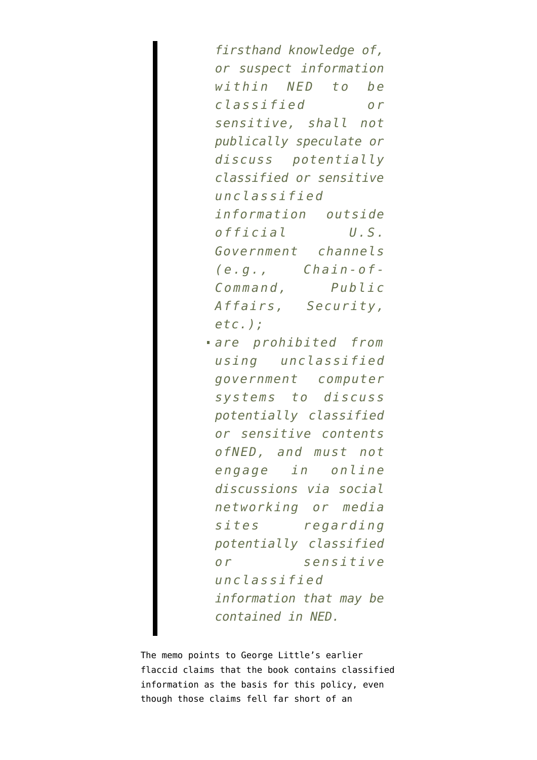*firsthand knowledge of, or suspect information within NED to be classified or sensitive, shall not publically speculate or discuss potentially classified or sensitive unclassified information outside official U.S. Government channels (e.g., Chain-of-Command, Public Affairs, Security, etc.); are prohibited from using unclassified government computer systems to discuss potentially classified or sensitive contents*

*ofNED, and must not engage in online discussions via social networking or media sites regarding potentially classified or sensitive unclassified information that may be contained in NED.*

The memo points to [George Little's earlier](http://www.emptywheel.net/2012/09/05/dod-gets-awfully-sensitive-when-theyre-cornered/) [flaccid claims](http://www.emptywheel.net/2012/09/05/dod-gets-awfully-sensitive-when-theyre-cornered/) that the book contains classified information as the basis for this policy, even though those claims fell far short of an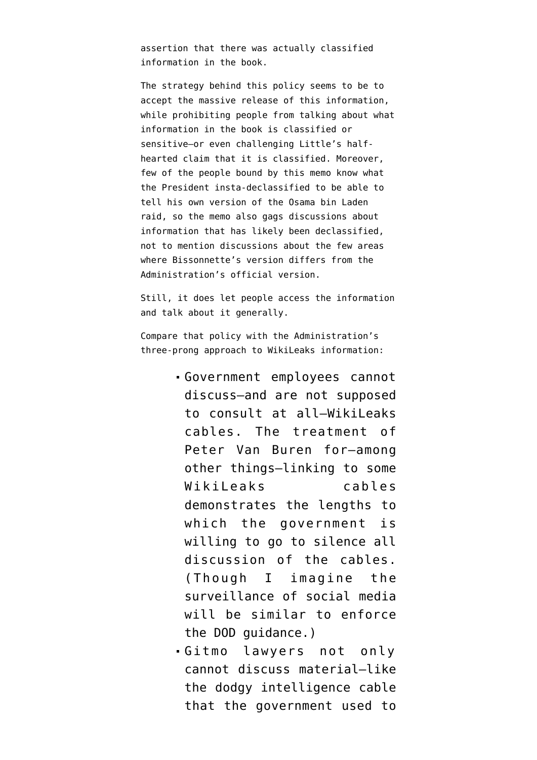assertion that there was actually classified information in the book.

The strategy behind this policy seems to be to accept the massive release of this information, while prohibiting people from talking about what information in the book is classified or sensitive–or even challenging Little's halfhearted claim that it is classified. Moreover, few of the people bound by this memo know what the President insta-declassified to be able to tell his own version of the Osama bin Laden raid, so the memo also gags discussions about information that has likely been declassified, not to mention discussions about the few areas where Bissonnette's version differs from the Administration's official version.

Still, it does let people access the information and talk about it generally.

Compare that policy with the Administration's three-prong approach to WikiLeaks information:

- Government employees cannot discuss–and are not supposed to consult at all–WikiLeaks cables. The treatment of Peter Van Buren for–among other things[–linking to some](http://www.emptywheel.net/2011/09/27/the-government-once-again-harrasses-others-to-hide-its-own-failures/) [WikiLeaks cables](http://www.emptywheel.net/2011/09/27/the-government-once-again-harrasses-others-to-hide-its-own-failures/) demonstrates the lengths to which the government is willing to go to silence all discussion of the cables. (Though I imagine the surveillance of social media will be similar to enforce the DOD guidance.)
- Gitmo lawyers not only cannot discuss material–like the [dodgy intelligence cable](http://www.emptywheel.net/2012/05/11/the-government-continues-to-play-redaction-games-with-latif/) that the government used to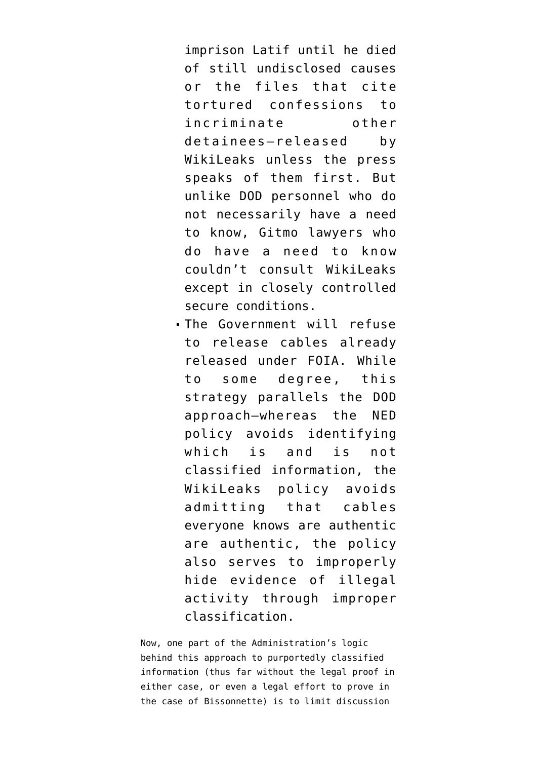imprison Latif until he died of still undisclosed causes or the files that [cite](http://www.emptywheel.net/2011/04/28/saifullah-parachas-gitmo-file-contains-suspect-details-but-his-defense-attorney-cant-point-them-out/) [tortured confessions](http://www.emptywheel.net/2011/04/28/saifullah-parachas-gitmo-file-contains-suspect-details-but-his-defense-attorney-cant-point-them-out/) to incriminate other detainees–released by WikiLeaks unless the press speaks of them first. But unlike DOD personnel who do not necessarily have a need to know, Gitmo lawyers who do have a need to know couldn't consult WikiLeaks except in closely controlled secure conditions.

The Government will refuse to release cables already released under FOIA. While to some degree, this strategy parallels the DOD approach–whereas the NED policy avoids identifying which is and is not classified information, the WikiLeaks policy avoids admitting that cables everyone knows are authentic are authentic, the policy [also serves](http://www.emptywheel.net/2012/07/24/judge-kollar-kotelly-sees-no-evil-hears-no-evil/) to improperly hide evidence of illegal activity through improper classification.

Now, one part of the Administration's logic behind this approach to purportedly classified information (thus far without the legal proof in either case, or even a legal effort to prove in the case of Bissonnette) is to limit discussion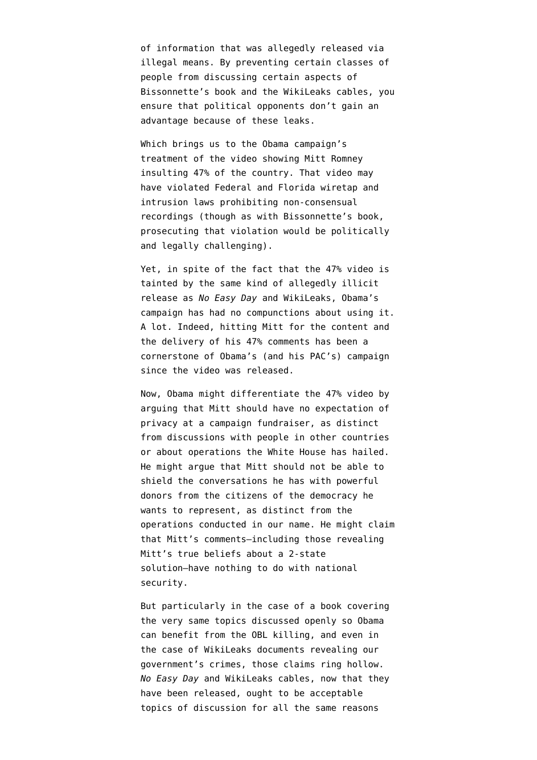of information that was allegedly released via illegal means. By preventing certain classes of people from discussing certain aspects of Bissonnette's book and the WikiLeaks cables, you ensure that political opponents don't gain an advantage because of these leaks.

Which brings us to the Obama campaign's treatment of the video showing Mitt Romney insulting 47% of the country. That video [may](http://www.citmedialaw.org/blog/2012/camera-records-boca-part-one) [have violated](http://www.citmedialaw.org/blog/2012/camera-records-boca-part-one) Federal and Florida wiretap and intrusion laws prohibiting non-consensual recordings (though as with Bissonnette's book, prosecuting that violation [would be politically](http://www.citmedialaw.org/blog/2012/camera-records-boca-part-two) [and legally challenging\)](http://www.citmedialaw.org/blog/2012/camera-records-boca-part-two).

Yet, in spite of the fact that the 47% video is tainted by the same kind of allegedly illicit release as *No Easy Day* and WikiLeaks, Obama's campaign has had no compunctions about using it. A lot. Indeed, hitting Mitt for the content and the delivery of his 47% comments has been a cornerstone of Obama's (and his PAC's) campaign since the video was released.

Now, Obama might differentiate the 47% video by arguing that Mitt should have no expectation of privacy at a campaign fundraiser, as distinct from discussions with people in other countries or about operations the White House has hailed. He might argue that Mitt should not be able to shield the conversations he has with powerful donors from the citizens of the democracy he wants to represent, as distinct from the operations conducted in our name. He might claim that Mitt's comments–including those revealing Mitt's true beliefs about a 2-state solution–have nothing to do with national security.

But particularly in the case of a book covering the very same topics discussed openly so Obama can benefit from the OBL killing, and even in the case of WikiLeaks documents revealing our government's crimes, those claims ring hollow. *No Easy Day* and WikiLeaks cables, now that they have been released, ought to be acceptable topics of discussion for all the same reasons